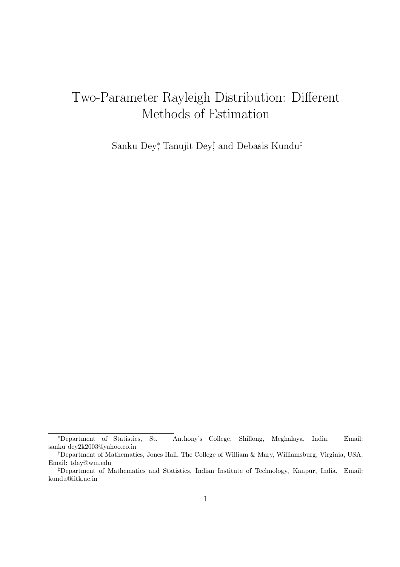# Two-Parameter Rayleigh Distribution: Different Methods of Estimation

Sanku Dey<sup>∗</sup> , Tanujit Dey† , and Debasis Kundu‡

<sup>∗</sup>Department of Statistics, St. Anthony's College, Shillong, Meghalaya, India. Email: sanku dey2k2003@yahoo.co.in

<sup>†</sup>Department of Mathematics, Jones Hall, The College of William & Mary, Williamsburg, Virginia, USA. Email: tdey@wm.edu

<sup>‡</sup>Department of Mathematics and Statistics, Indian Institute of Technology, Kanpur, India. Email: kundu@iitk.ac.in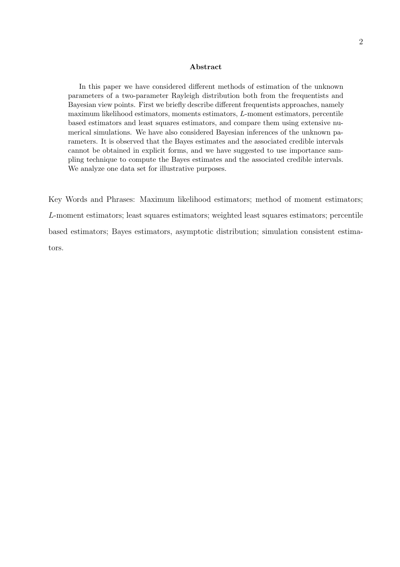#### Abstract

In this paper we have considered different methods of estimation of the unknown parameters of a two-parameter Rayleigh distribution both from the frequentists and Bayesian view points. First we briefly describe different frequentists approaches, namely maximum likelihood estimators, moments estimators, L-moment estimators, percentile based estimators and least squares estimators, and compare them using extensive numerical simulations. We have also considered Bayesian inferences of the unknown parameters. It is observed that the Bayes estimates and the associated credible intervals cannot be obtained in explicit forms, and we have suggested to use importance sampling technique to compute the Bayes estimates and the associated credible intervals. We analyze one data set for illustrative purposes.

Key Words and Phrases: Maximum likelihood estimators; method of moment estimators; L-moment estimators; least squares estimators; weighted least squares estimators; percentile based estimators; Bayes estimators, asymptotic distribution; simulation consistent estimators.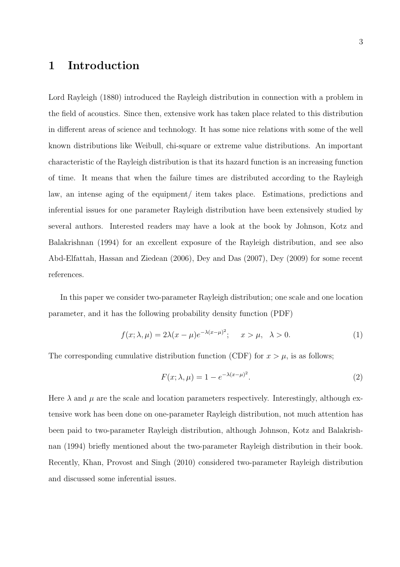# 1 Introduction

Lord Rayleigh (1880) introduced the Rayleigh distribution in connection with a problem in the field of acoustics. Since then, extensive work has taken place related to this distribution in different areas of science and technology. It has some nice relations with some of the well known distributions like Weibull, chi-square or extreme value distributions. An important characteristic of the Rayleigh distribution is that its hazard function is an increasing function of time. It means that when the failure times are distributed according to the Rayleigh law, an intense aging of the equipment/ item takes place. Estimations, predictions and inferential issues for one parameter Rayleigh distribution have been extensively studied by several authors. Interested readers may have a look at the book by Johnson, Kotz and Balakrishnan (1994) for an excellent exposure of the Rayleigh distribution, and see also Abd-Elfattah, Hassan and Ziedean (2006), Dey and Das (2007), Dey (2009) for some recent references.

In this paper we consider two-parameter Rayleigh distribution; one scale and one location parameter, and it has the following probability density function (PDF)

$$
f(x; \lambda, \mu) = 2\lambda(x - \mu)e^{-\lambda(x - \mu)^2}; \quad x > \mu, \quad \lambda > 0.
$$
 (1)

The corresponding cumulative distribution function (CDF) for  $x > \mu$ , is as follows;

$$
F(x; \lambda, \mu) = 1 - e^{-\lambda(x - \mu)^2}.
$$
\n<sup>(2)</sup>

Here  $\lambda$  and  $\mu$  are the scale and location parameters respectively. Interestingly, although extensive work has been done on one-parameter Rayleigh distribution, not much attention has been paid to two-parameter Rayleigh distribution, although Johnson, Kotz and Balakrishnan (1994) briefly mentioned about the two-parameter Rayleigh distribution in their book. Recently, Khan, Provost and Singh (2010) considered two-parameter Rayleigh distribution and discussed some inferential issues.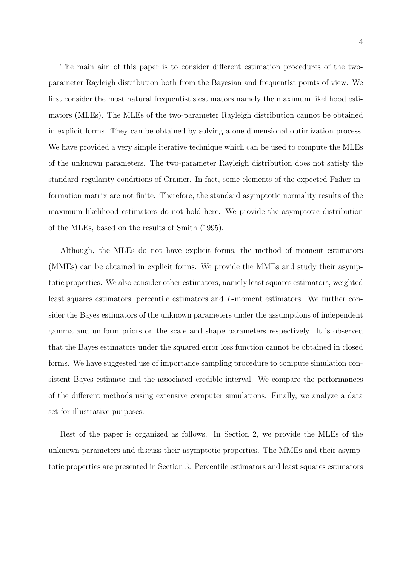The main aim of this paper is to consider different estimation procedures of the twoparameter Rayleigh distribution both from the Bayesian and frequentist points of view. We first consider the most natural frequentist's estimators namely the maximum likelihood estimators (MLEs). The MLEs of the two-parameter Rayleigh distribution cannot be obtained in explicit forms. They can be obtained by solving a one dimensional optimization process. We have provided a very simple iterative technique which can be used to compute the MLEs of the unknown parameters. The two-parameter Rayleigh distribution does not satisfy the standard regularity conditions of Cramer. In fact, some elements of the expected Fisher information matrix are not finite. Therefore, the standard asymptotic normality results of the maximum likelihood estimators do not hold here. We provide the asymptotic distribution of the MLEs, based on the results of Smith (1995).

Although, the MLEs do not have explicit forms, the method of moment estimators (MMEs) can be obtained in explicit forms. We provide the MMEs and study their asymptotic properties. We also consider other estimators, namely least squares estimators, weighted least squares estimators, percentile estimators and L-moment estimators. We further consider the Bayes estimators of the unknown parameters under the assumptions of independent gamma and uniform priors on the scale and shape parameters respectively. It is observed that the Bayes estimators under the squared error loss function cannot be obtained in closed forms. We have suggested use of importance sampling procedure to compute simulation consistent Bayes estimate and the associated credible interval. We compare the performances of the different methods using extensive computer simulations. Finally, we analyze a data set for illustrative purposes.

Rest of the paper is organized as follows. In Section 2, we provide the MLEs of the unknown parameters and discuss their asymptotic properties. The MMEs and their asymptotic properties are presented in Section 3. Percentile estimators and least squares estimators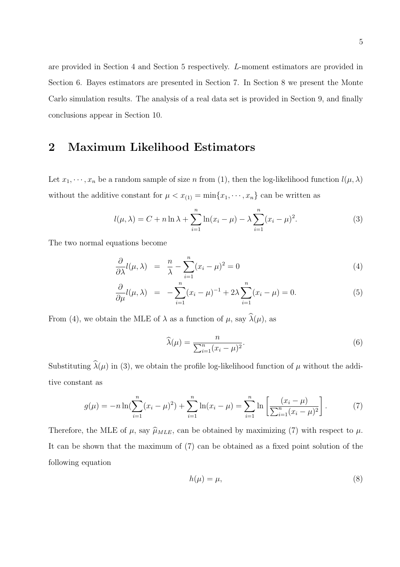are provided in Section 4 and Section 5 respectively. L-moment estimators are provided in Section 6. Bayes estimators are presented in Section 7. In Section 8 we present the Monte Carlo simulation results. The analysis of a real data set is provided in Section 9, and finally conclusions appear in Section 10.

# 2 Maximum Likelihood Estimators

Let  $x_1, \dots, x_n$  be a random sample of size n from (1), then the log-likelihood function  $l(\mu, \lambda)$ without the additive constant for  $\mu < x_{(1)} = \min\{x_1, \dots, x_n\}$  can be written as

$$
l(\mu, \lambda) = C + n \ln \lambda + \sum_{i=1}^{n} \ln(x_i - \mu) - \lambda \sum_{i=1}^{n} (x_i - \mu)^2.
$$
 (3)

The two normal equations become

$$
\frac{\partial}{\partial \lambda}l(\mu,\lambda) = \frac{n}{\lambda} - \sum_{i=1}^{n}(x_i - \mu)^2 = 0
$$
\n(4)

$$
\frac{\partial}{\partial \mu}l(\mu,\lambda) = -\sum_{i=1}^{n}(x_i - \mu)^{-1} + 2\lambda \sum_{i=1}^{n}(x_i - \mu) = 0.
$$
 (5)

From (4), we obtain the MLE of  $\lambda$  as a function of  $\mu$ , say  $\widehat{\lambda}(\mu)$ , as

$$
\widehat{\lambda}(\mu) = \frac{n}{\sum_{i=1}^{n} (x_i - \mu)^2}.
$$
\n(6)

Substituting  $\hat{\lambda}(\mu)$  in (3), we obtain the profile log-likelihood function of  $\mu$  without the additive constant as

$$
g(\mu) = -n \ln \left( \sum_{i=1}^{n} (x_i - \mu)^2 \right) + \sum_{i=1}^{n} \ln(x_i - \mu) = \sum_{i=1}^{n} \ln \left[ \frac{(x_i - \mu)}{\sum_{i=1}^{n} (x_i - \mu)^2} \right].
$$
 (7)

Therefore, the MLE of  $\mu$ , say  $\widehat{\mu}_{MLE}$ , can be obtained by maximizing (7) with respect to  $\mu$ . It can be shown that the maximum of (7) can be obtained as a fixed point solution of the following equation

$$
h(\mu) = \mu,\tag{8}
$$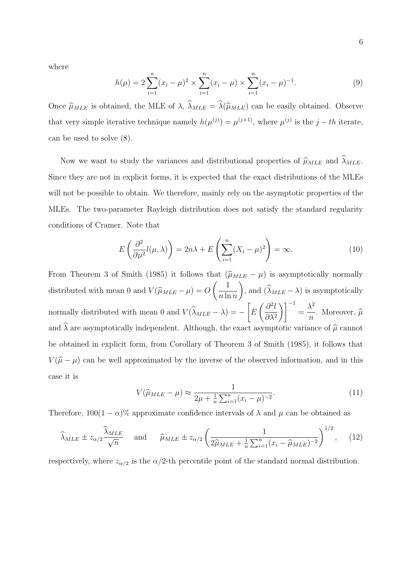6

where

$$
h(\mu) = 2\sum_{i=1}^{n} (x_i - \mu)^2 \times \sum_{i=1}^{n} (x_i - \mu) \times \sum_{i=1}^{n} (x_i - \mu)^{-1}.
$$
 (9)

Once  $\hat{\mu}_{MLE}$  is obtained, the MLE of  $\lambda$ ,  $\hat{\lambda}_{MLE} = \hat{\lambda}(\hat{\mu}_{MLE})$  can be easily obtained. Observe that very simple iterative technique namely  $h(\mu^{(j)}) = \mu^{(j+1)}$ , where  $\mu^{(j)}$  is the  $j-th$  iterate, can be used to solve (8).

Now we want to study the variances and distributional properties of  $\hat{\mu}_{MLE}$  and  $\hat{\lambda}_{MLE}$ . Since they are not in explicit forms, it is expected that the exact distributions of the MLEs will not be possible to obtain. We therefore, mainly rely on the asymptotic properties of the MLEs. The two-parameter Rayleigh distribution does not satisfy the standard regularity conditions of Cramer. Note that

$$
E\left(\frac{\partial^2}{\partial\mu^2}l(\mu,\lambda)\right) = 2n\lambda + E\left(\sum_{i=1}^n (X_i - \mu)^2\right) = \infty.
$$
 (10)

From Theorem 3 of Smith (1985) it follows that  $(\hat{\mu}_{MLE} - \mu)$  is asymptotically normally distributed with mean 0 and  $V(\hat{\mu}_{MLE} - \mu) = O$  $\begin{pmatrix} 1 \end{pmatrix}$  $n \ln n$  $\setminus$ , and  $(\lambda_{MLE} - \lambda)$  is asymptotically normally distributed with mean 0 and  $V(\lambda_{MLE} - \lambda) = \sqrt{ }$ E  $\int$  ∂<sup>2</sup>l ∂λ<sup>2</sup>  $\setminus$ ]<sup>-1</sup> =  $\lambda^2$  $\frac{1}{n}$ . Moreover,  $\widehat{\mu}$ and  $\hat{\lambda}$  are asymptotically independent. Although, the exact asymptotic variance of  $\hat{\mu}$  cannot be obtained in explicit form, from Corollary of Theorem 3 of Smith (1985), it follows that  $V(\hat{\mu} - \mu)$  can be well approximated by the inverse of the observed information, and in this case it is

$$
V(\hat{\mu}_{MLE} - \mu) \approx \frac{1}{2\mu + \frac{1}{n}\sum_{i=1}^{n}(x_i - \mu)^{-2}}.
$$
\n(11)

Therefore,  $100(1 - \alpha)$ % approximate confidence intervals of  $\lambda$  and  $\mu$  can be obtained as

$$
\widehat{\lambda}_{MLE} \pm z_{\alpha/2} \frac{\widehat{\lambda}_{MLE}}{\sqrt{n}} \quad \text{and} \quad \widehat{\mu}_{MLE} \pm z_{\alpha/2} \left( \frac{1}{2\widehat{\mu}_{MLE} + \frac{1}{n} \sum_{i=1}^{n} (x_i - \widehat{\mu}_{MLE})^{-2}} \right)^{1/2}, \quad (12)
$$

respectively, where  $z_{\alpha/2}$  is the  $\alpha/2$ -th percentile point of the standard normal distribution.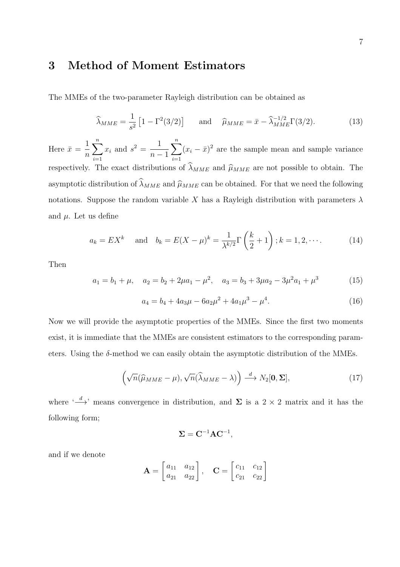## 3 Method of Moment Estimators

The MMEs of the two-parameter Rayleigh distribution can be obtained as

$$
\widehat{\lambda}_{MME} = \frac{1}{s^2} \left[ 1 - \Gamma^2(3/2) \right] \quad \text{and} \quad \widehat{\mu}_{MME} = \bar{x} - \widehat{\lambda}_{MME}^{-1/2} \Gamma(3/2). \tag{13}
$$

Here  $\bar{x} =$ 1  $\overline{n}$  $\sum_{n=1}^{\infty}$  $i=1$  $x_i$  and  $s^2 = \frac{1}{\cdots}$  $n-1$  $\sum_{n=1}^{\infty}$  $i=1$  $(x_i - \bar{x})^2$  are the sample mean and sample variance respectively. The exact distributions of  $\widehat{\lambda}_{MME}$  and  $\widehat{\mu}_{MME}$  are not possible to obtain. The asymptotic distribution of  $\widehat{\lambda}_{MME}$  and  $\widehat{\mu}_{MME}$  can be obtained. For that we need the following notations. Suppose the random variable X has a Rayleigh distribution with parameters  $\lambda$ and  $\mu$ . Let us define

$$
a_k = EX^k
$$
 and  $b_k = E(X - \mu)^k = \frac{1}{\lambda^{k/2}} \Gamma\left(\frac{k}{2} + 1\right); k = 1, 2, \cdots$  (14)

Then

$$
a_1 = b_1 + \mu, \quad a_2 = b_2 + 2\mu a_1 - \mu^2, \quad a_3 = b_3 + 3\mu a_2 - 3\mu^2 a_1 + \mu^3 \tag{15}
$$

$$
a_4 = b_4 + 4a_3\mu - 6a_2\mu^2 + 4a_1\mu^3 - \mu^4. \tag{16}
$$

Now we will provide the asymptotic properties of the MMEs. Since the first two moments exist, it is immediate that the MMEs are consistent estimators to the corresponding parameters. Using the  $\delta$ -method we can easily obtain the asymptotic distribution of the MMEs.

$$
\left(\sqrt{n}(\widehat{\mu}_{MME} - \mu), \sqrt{n}(\widehat{\lambda}_{MME} - \lambda)\right) \stackrel{d}{\longrightarrow} N_2[0, \Sigma],\tag{17}
$$

,

where  $\leftarrow d$  means convergence in distribution, and  $\Sigma$  is a 2 × 2 matrix and it has the following form;

$$
\boldsymbol{\Sigma} = \mathbf{C}^{-1} \mathbf{A} \mathbf{C}^{-1}
$$

and if we denote

$$
\mathbf{A} = \begin{bmatrix} a_{11} & a_{12} \\ a_{21} & a_{22} \end{bmatrix}, \quad \mathbf{C} = \begin{bmatrix} c_{11} & c_{12} \\ c_{21} & c_{22} \end{bmatrix}
$$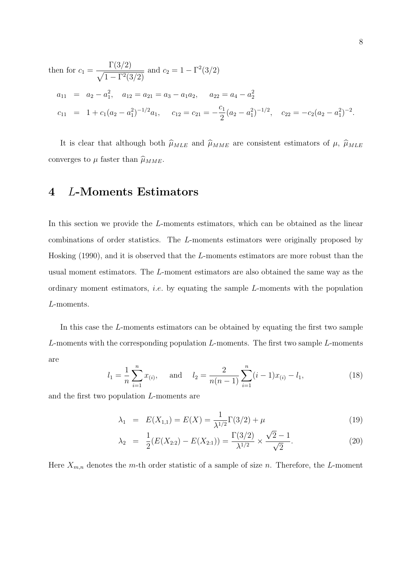then for 
$$
c_1 = \frac{\Gamma(3/2)}{\sqrt{1 - \Gamma^2(3/2)}}
$$
 and  $c_2 = 1 - \Gamma^2(3/2)$   
\n $a_{11} = a_2 - a_1^2$ ,  $a_{12} = a_{21} = a_3 - a_1a_2$ ,  $a_{22} = a_4 - a_2^2$   
\n $c_{11} = 1 + c_1(a_2 - a_1^2)^{-1/2}a_1$ ,  $c_{12} = c_{21} = -\frac{c_1}{2}(a_2 - a_1^2)^{-1/2}$ ,  $c_{22} = -c_2(a_2 - a_1^2)^{-2}$ .

It is clear that although both  $\hat{\mu}_{MLE}$  and  $\hat{\mu}_{MME}$  are consistent estimators of  $\mu$ ,  $\hat{\mu}_{MLE}$ converges to  $\mu$  faster than  $\widehat{\mu}_{MME}$ .

# 4 L-Moments Estimators

In this section we provide the L-moments estimators, which can be obtained as the linear combinations of order statistics. The L-moments estimators were originally proposed by Hosking (1990), and it is observed that the L-moments estimators are more robust than the usual moment estimators. The L-moment estimators are also obtained the same way as the ordinary moment estimators, *i.e.* by equating the sample  $L$ -moments with the population L-moments.

In this case the L-moments estimators can be obtained by equating the first two sample L-moments with the corresponding population  $L$ -moments. The first two sample  $L$ -moments are

$$
l_1 = \frac{1}{n} \sum_{i=1}^{n} x_{(i)},
$$
 and  $l_2 = \frac{2}{n(n-1)} \sum_{i=1}^{n} (i-1)x_{(i)} - l_1,$  (18)

and the first two population L-moments are

$$
\lambda_1 = E(X_{1,1}) = E(X) = \frac{1}{\lambda^{1/2}} \Gamma(3/2) + \mu \tag{19}
$$

$$
\lambda_2 = \frac{1}{2}(E(X_{2:2}) - E(X_{2:1})) = \frac{\Gamma(3/2)}{\lambda^{1/2}} \times \frac{\sqrt{2} - 1}{\sqrt{2}}.
$$
 (20)

Here  $X_{m,n}$  denotes the m-th order statistic of a sample of size n. Therefore, the L-moment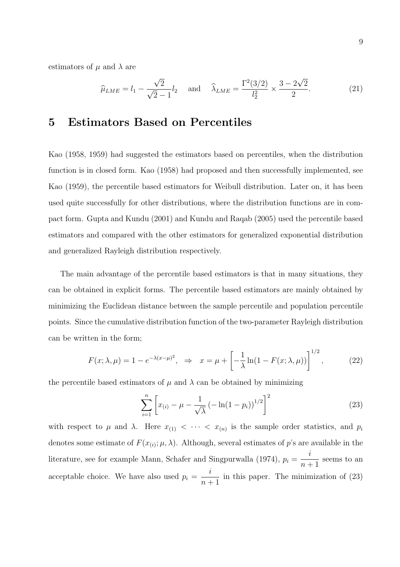estimators of  $\mu$  and  $\lambda$  are

$$
\widehat{\mu}_{LME} = l_1 - \frac{\sqrt{2}}{\sqrt{2} - 1} l_2
$$
 and  $\widehat{\lambda}_{LME} = \frac{\Gamma^2(3/2)}{l_2^2} \times \frac{3 - 2\sqrt{2}}{2}$ . (21)

### 5 Estimators Based on Percentiles

Kao (1958, 1959) had suggested the estimators based on percentiles, when the distribution function is in closed form. Kao (1958) had proposed and then successfully implemented, see Kao (1959), the percentile based estimators for Weibull distribution. Later on, it has been used quite successfully for other distributions, where the distribution functions are in compact form. Gupta and Kundu (2001) and Kundu and Raqab (2005) used the percentile based estimators and compared with the other estimators for generalized exponential distribution and generalized Rayleigh distribution respectively.

The main advantage of the percentile based estimators is that in many situations, they can be obtained in explicit forms. The percentile based estimators are mainly obtained by minimizing the Euclidean distance between the sample percentile and population percentile points. Since the cumulative distribution function of the two-parameter Rayleigh distribution can be written in the form;

$$
F(x; \lambda, \mu) = 1 - e^{-\lambda(x-\mu)^2}, \quad \Rightarrow \quad x = \mu + \left[ -\frac{1}{\lambda} \ln(1 - F(x; \lambda, \mu)) \right]^{1/2},\tag{22}
$$

the percentile based estimators of  $\mu$  and  $\lambda$  can be obtained by minimizing

$$
\sum_{i=1}^{n} \left[ x_{(i)} - \mu - \frac{1}{\sqrt{\lambda}} \left( -\ln(1 - p_i) \right)^{1/2} \right]^2 \tag{23}
$$

with respect to  $\mu$  and  $\lambda$ . Here  $x_{(1)} < \cdots < x_{(n)}$  is the sample order statistics, and  $p_i$ denotes some estimate of  $F(x_{(i)}; \mu, \lambda)$ . Although, several estimates of p's are available in the literature, see for example Mann, Schafer and Singpurwalla (1974),  $p_i =$ i  $n+1$ seems to an acceptable choice. We have also used  $p_i =$ i  $n+1$ in this paper. The minimization of (23)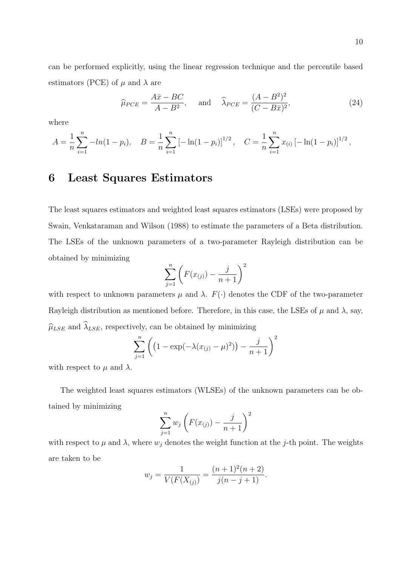can be performed explicitly, using the linear regression technique and the percentile based estimators (PCE) of  $\mu$  and  $\lambda$  are

$$
\widehat{\mu}_{PCE} = \frac{A\bar{x} - BC}{A - B^2}, \quad \text{and} \quad \widehat{\lambda}_{PCE} = \frac{(A - B^2)^2}{(C - B\bar{x})^2}, \tag{24}
$$

where

$$
A = \frac{1}{n} \sum_{i=1}^{n} -\ln(1 - p_i), \quad B = \frac{1}{n} \sum_{i=1}^{n} \left[ -\ln(1 - p_i) \right]^{1/2}, \quad C = \frac{1}{n} \sum_{i=1}^{n} x_{(i)} \left[ -\ln(1 - p_i) \right]^{1/2},
$$

#### 6 Least Squares Estimators

The least squares estimators and weighted least squares estimators (LSEs) were proposed by Swain, Venkataraman and Wilson (1988) to estimate the parameters of a Beta distribution. The LSEs of the unknown parameters of a two-parameter Rayleigh distribution can be obtained by minimizing

$$
\sum_{j=1}^{n} \left( F(x_{(j)}) - \frac{j}{n+1} \right)^2
$$

with respect to unknown parameters  $\mu$  and  $\lambda$ .  $F(\cdot)$  denotes the CDF of the two-parameter Rayleigh distribution as mentioned before. Therefore, in this case, the LSEs of  $\mu$  and  $\lambda$ , say,  $\widehat{\mu}_{LSE}$  and  $\widehat{\lambda}_{LSE},$  respectively, can be obtained by minimizing

$$
\sum_{j=1}^{n} \left( \left( 1 - \exp(-\lambda (x_{(j)} - \mu)^{2}) \right) - \frac{j}{n+1} \right)^{2}
$$

with respect to  $\mu$  and  $\lambda$ .

The weighted least squares estimators (WLSEs) of the unknown parameters can be obtained by minimizing

$$
\sum_{j=1}^{n} w_j \left( F(x_{(j)}) - \frac{j}{n+1} \right)^2
$$

with respect to  $\mu$  and  $\lambda$ , where  $w_j$  denotes the weight function at the j-th point. The weights are taken to be

$$
w_j = \frac{1}{V(F(X_{(j)}))} = \frac{(n+1)^2(n+2)}{j(n-j+1)}.
$$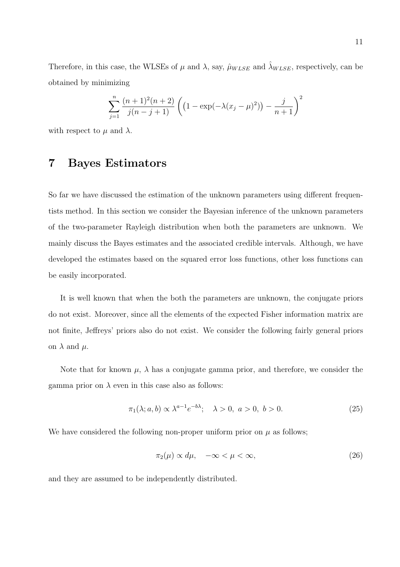Therefore, in this case, the WLSEs of  $\mu$  and  $\lambda$ , say,  $\hat{\mu}_{W LSE}$  and  $\hat{\lambda}_{W LSE}$ , respectively, can be obtained by minimizing

$$
\sum_{j=1}^{n} \frac{(n+1)^2(n+2)}{j(n-j+1)} \left( \left(1 - \exp(-\lambda(x_j - \mu)^2)\right) - \frac{j}{n+1} \right)^2
$$

with respect to  $\mu$  and  $\lambda$ .

# 7 Bayes Estimators

So far we have discussed the estimation of the unknown parameters using different frequentists method. In this section we consider the Bayesian inference of the unknown parameters of the two-parameter Rayleigh distribution when both the parameters are unknown. We mainly discuss the Bayes estimates and the associated credible intervals. Although, we have developed the estimates based on the squared error loss functions, other loss functions can be easily incorporated.

It is well known that when the both the parameters are unknown, the conjugate priors do not exist. Moreover, since all the elements of the expected Fisher information matrix are not finite, Jeffreys' priors also do not exist. We consider the following fairly general priors on  $\lambda$  and  $\mu$ .

Note that for known  $\mu$ ,  $\lambda$  has a conjugate gamma prior, and therefore, we consider the gamma prior on  $\lambda$  even in this case also as follows:

$$
\pi_1(\lambda; a, b) \propto \lambda^{a-1} e^{-b\lambda}; \quad \lambda > 0, \ a > 0, \ b > 0.
$$
 (25)

We have considered the following non-proper uniform prior on  $\mu$  as follows;

$$
\pi_2(\mu) \propto d\mu, \quad -\infty < \mu < \infty,\tag{26}
$$

and they are assumed to be independently distributed.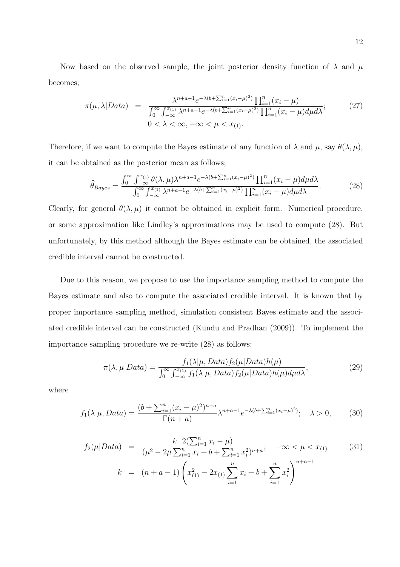Now based on the observed sample, the joint posterior density function of  $\lambda$  and  $\mu$ becomes;

$$
\pi(\mu, \lambda | Data) = \frac{\lambda^{n+a-1} e^{-\lambda(b + \sum_{i=1}^{n} (x_i - \mu)^2)} \prod_{i=1}^{n} (x_i - \mu)}{\int_0^\infty \int_{-\infty}^{x_{(1)}} \lambda^{n+a-1} e^{-\lambda(b + \sum_{i=1}^{n} (x_i - \mu)^2)} \prod_{i=1}^{n} (x_i - \mu) d\mu d\lambda};\tag{27}
$$
\n
$$
0 < \lambda < \infty, -\infty < \mu < x_{(1)}.
$$

Therefore, if we want to compute the Bayes estimate of any function of  $\lambda$  and  $\mu$ , say  $\theta(\lambda, \mu)$ , it can be obtained as the posterior mean as follows;

$$
\widehat{\theta}_{Bayes} = \frac{\int_0^\infty \int_{-\infty}^{x_{(1)}} \theta(\lambda, \mu) \lambda^{n+a-1} e^{-\lambda(b+\sum_{i=1}^n (x_i - \mu)^2)} \prod_{i=1}^n (x_i - \mu) d\mu d\lambda}{\int_0^\infty \int_{-\infty}^{x_{(1)}} \lambda^{n+a-1} e^{-\lambda(b+\sum_{i=1}^n (x_i - \mu)^2)} \prod_{i=1}^n (x_i - \mu) d\mu d\lambda}.
$$
 (28)

Clearly, for general  $\theta(\lambda, \mu)$  it cannot be obtained in explicit form. Numerical procedure, or some approximation like Lindley's approximations may be used to compute (28). But unfortunately, by this method although the Bayes estimate can be obtained, the associated credible interval cannot be constructed.

Due to this reason, we propose to use the importance sampling method to compute the Bayes estimate and also to compute the associated credible interval. It is known that by proper importance sampling method, simulation consistent Bayes estimate and the associated credible interval can be constructed (Kundu and Pradhan (2009)). To implement the importance sampling procedure we re-write (28) as follows;

$$
\pi(\lambda,\mu|Data) = \frac{f_1(\lambda|\mu,Data)f_2(\mu|Data)h(\mu)}{\int_0^\infty \int_{-\infty}^{x_{(1)}} f_1(\lambda|\mu,Data)f_2(\mu|Data)h(\mu)d\mu} \tag{29}
$$

where

$$
f_1(\lambda|\mu, Data) = \frac{(b + \sum_{i=1}^n (x_i - \mu)^2)^{n+a}}{\Gamma(n+a)} \lambda^{n+a-1} e^{-\lambda(b + \sum_{i=1}^n (x_i - \mu)^2)}; \quad \lambda > 0,
$$
 (30)

$$
f_2(\mu|Data) = \frac{k \ 2(\sum_{i=1}^n x_i - \mu)}{(\mu^2 - 2\mu \sum_{i=1}^n x_i + b + \sum_{i=1}^n x_i^2)^{n+a}}; \quad -\infty < \mu < x_{(1)}
$$
(31)  

$$
k = (n+a-1) \left( x_{(1)}^2 - 2x_{(1)} \sum_{i=1}^n x_i + b + \sum_{i=1}^n x_i^2 \right)^{n+a-1}
$$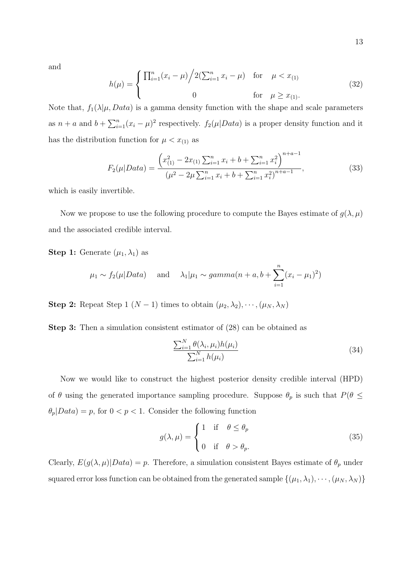and

$$
h(\mu) = \begin{cases} \prod_{i=1}^{n} (x_i - \mu) / 2(\sum_{i=1}^{n} x_i - \mu) & \text{for } \mu < x_{(1)} \\ 0 & \text{for } \mu \ge x_{(1)}. \end{cases}
$$
 (32)

Note that,  $f_1(\lambda|\mu, Data)$  is a gamma density function with the shape and scale parameters as  $n + a$  and  $b + \sum_{i=1}^{n} (x_i - \mu)^2$  respectively.  $f_2(\mu|Data)$  is a proper density function and it has the distribution function for  $\mu < x_{(1)}$  as

$$
F_2(\mu|Data) = \frac{\left(x_{(1)}^2 - 2x_{(1)}\sum_{i=1}^n x_i + b + \sum_{i=1}^n x_i^2\right)^{n+a-1}}{(\mu^2 - 2\mu\sum_{i=1}^n x_i + b + \sum_{i=1}^n x_i^2)^{n+a-1}},\tag{33}
$$

which is easily invertible.

Now we propose to use the following procedure to compute the Bayes estimate of  $g(\lambda, \mu)$ and the associated credible interval.

**Step 1:** Generate  $(\mu_1, \lambda_1)$  as

$$
\mu_1 \sim f_2(\mu|Data)
$$
 and  $\lambda_1|\mu_1 \sim gamma(n+a, b + \sum_{i=1}^n (x_i - \mu_1)^2)$ 

**Step 2:** Repeat Step 1 (N − 1) times to obtain  $(\mu_2, \lambda_2), \cdots, (\mu_N, \lambda_N)$ 

Step 3: Then a simulation consistent estimator of (28) can be obtained as

$$
\frac{\sum_{i=1}^{N} \theta(\lambda_i, \mu_i) h(\mu_i)}{\sum_{i=1}^{N} h(\mu_i)}
$$
\n(34)

Now we would like to construct the highest posterior density credible interval (HPD) of  $\theta$  using the generated importance sampling procedure. Suppose  $\theta_p$  is such that  $P(\theta \leq \theta)$  $\theta_p|Data) = p$ , for  $0 < p < 1$ . Consider the following function

$$
g(\lambda, \mu) = \begin{cases} 1 & \text{if } \theta \le \theta_p \\ 0 & \text{if } \theta > \theta_p. \end{cases}
$$
 (35)

Clearly,  $E(g(\lambda, \mu)|Data) = p$ . Therefore, a simulation consistent Bayes estimate of  $\theta_p$  under squared error loss function can be obtained from the generated sample  $\{(\mu_1, \lambda_1), \cdots, (\mu_N, \lambda_N)\}\$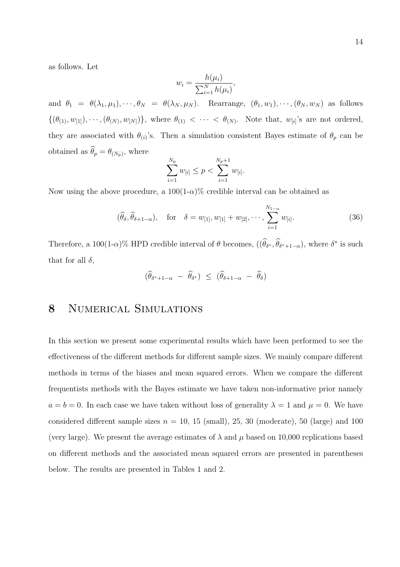as follows. Let

$$
w_i = \frac{h(\mu_i)}{\sum_{i=1}^N h(\mu_i)},
$$

and  $\theta_1 = \theta(\lambda_1, \mu_1), \dots, \theta_N = \theta(\lambda_N, \mu_N)$ . Rearrange,  $(\theta_1, w_1), \dots, (\theta_N, w_N)$  as follows  $\{(\theta_{(1)}, w_{[1]}), \cdots, (\theta_{(N)}, w_{[N]})\},$  where  $\theta_{(1)} < \cdots < \theta_{(N)}$ . Note that,  $w_{[i]}$ 's are not ordered, they are associated with  $\theta_{(i)}$ 's. Then a simulation consistent Bayes estimate of  $\theta_p$  can be obtained as  $\theta_p = \theta_{(N_p)}$ , where

$$
\sum_{i=1}^{N_p} w_{[i]} \le p < \sum_{i=1}^{N_p+1} w_{[i]}.
$$

Now using the above procedure, a  $100(1-\alpha)\%$  credible interval can be obtained as

$$
(\hat{\theta}_{\delta}, \hat{\theta}_{\delta+1-\alpha}), \quad \text{for} \quad \delta = w_{[1]}, w_{[1]} + w_{[2]}, \cdots, \sum_{i=1}^{N_{1-\alpha}} w_{[i]}.
$$
 (36)

Therefore, a 100(1- $\alpha$ )% HPD credible interval of  $\theta$  becomes,  $((\widehat{\theta}_{\delta^*}, \widehat{\theta}_{\delta^*+1-\alpha}),$  where  $\delta^*$  is such that for all  $\delta$ ,

$$
(\widehat{\theta}_{\delta^*+1-\alpha} - \widehat{\theta}_{\delta^*}) \leq (\widehat{\theta}_{\delta+1-\alpha} - \widehat{\theta}_{\delta})
$$

#### 8 NUMERICAL SIMULATIONS

In this section we present some experimental results which have been performed to see the effectiveness of the different methods for different sample sizes. We mainly compare different methods in terms of the biases and mean squared errors. When we compare the different frequentists methods with the Bayes estimate we have taken non-informative prior namely  $a = b = 0$ . In each case we have taken without loss of generality  $\lambda = 1$  and  $\mu = 0$ . We have considered different sample sizes  $n = 10, 15$  (small), 25, 30 (moderate), 50 (large) and 100 (very large). We present the average estimates of  $\lambda$  and  $\mu$  based on 10,000 replications based on different methods and the associated mean squared errors are presented in parentheses below. The results are presented in Tables 1 and 2.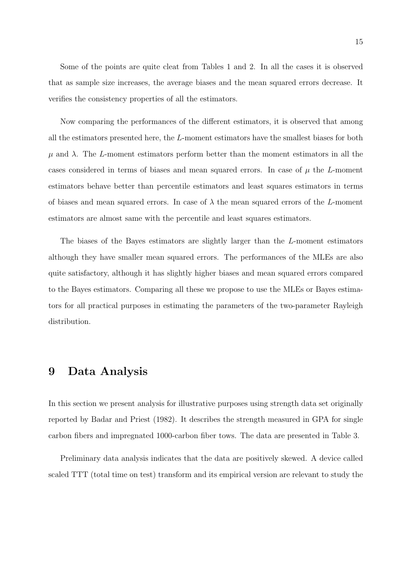Some of the points are quite cleat from Tables 1 and 2. In all the cases it is observed that as sample size increases, the average biases and the mean squared errors decrease. It verifies the consistency properties of all the estimators.

Now comparing the performances of the different estimators, it is observed that among all the estimators presented here, the L-moment estimators have the smallest biases for both  $\mu$  and  $\lambda$ . The L-moment estimators perform better than the moment estimators in all the cases considered in terms of biases and mean squared errors. In case of  $\mu$  the L-moment estimators behave better than percentile estimators and least squares estimators in terms of biases and mean squared errors. In case of  $\lambda$  the mean squared errors of the L-moment estimators are almost same with the percentile and least squares estimators.

The biases of the Bayes estimators are slightly larger than the L-moment estimators although they have smaller mean squared errors. The performances of the MLEs are also quite satisfactory, although it has slightly higher biases and mean squared errors compared to the Bayes estimators. Comparing all these we propose to use the MLEs or Bayes estimators for all practical purposes in estimating the parameters of the two-parameter Rayleigh distribution.

#### 9 Data Analysis

In this section we present analysis for illustrative purposes using strength data set originally reported by Badar and Priest (1982). It describes the strength measured in GPA for single carbon fibers and impregnated 1000-carbon fiber tows. The data are presented in Table 3.

Preliminary data analysis indicates that the data are positively skewed. A device called scaled TTT (total time on test) transform and its empirical version are relevant to study the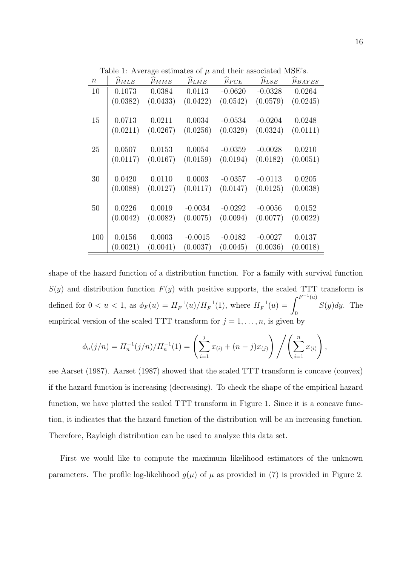Table 1: Average estimates of  $\mu$  and their associated MSE's.

| $\, n \,$ | $\mu_{MLE}$ | $\mu_{MME}$ | $\mu_{LME}$ | $\mu_{PCE}$ | $\mu_{LSE}$ | $\mu_{BAYES}$ |
|-----------|-------------|-------------|-------------|-------------|-------------|---------------|
| 10        | 0.1073      | 0.0384      | 0.0113      | $-0.0620$   | $-0.0328$   | 0.0264        |
|           | (0.0382)    | (0.0433)    | (0.0422)    | (0.0542)    | (0.0579)    | (0.0245)      |
|           |             |             |             |             |             |               |
| 15        | 0.0713      | 0.0211      | 0.0034      | $-0.0534$   | $-0.0204$   | 0.0248        |
|           | (0.0211)    | (0.0267)    | (0.0256)    | (0.0329)    | (0.0324)    | (0.0111)      |
|           |             |             |             |             |             |               |
| 25        | 0.0507      | 0.0153      | 0.0054      | $-0.0359$   | $-0.0028$   | 0.0210        |
|           | (0.0117)    | (0.0167)    | (0.0159)    | (0.0194)    | (0.0182)    | (0.0051)      |
|           |             |             |             |             |             |               |
| 30        | 0.0420      | 0.0110      | 0.0003      | $-0.0357$   | $-0.0113$   | 0.0205        |
|           | (0.0088)    | (0.0127)    | (0.0117)    | (0.0147)    | (0.0125)    | (0.0038)      |
|           |             |             |             |             |             |               |
| 50        | 0.0226      | 0.0019      | $-0.0034$   | $-0.0292$   | $-0.0056$   | 0.0152        |
|           | (0.0042)    | (0.0082)    | (0.0075)    | (0.0094)    | (0.0077)    | (0.0022)      |
|           |             |             |             |             |             |               |
| 100       | 0.0156      | 0.0003      | $-0.0015$   | $-0.0182$   | $-0.0027$   | 0.0137        |
|           | (0.0021)    | (0.0041)    | (0.0037)    | (0.0045)    | (0.0036)    | (0.0018)      |

shape of the hazard function of a distribution function. For a family with survival function  $S(y)$  and distribution function  $F(y)$  with positive supports, the scaled TTT transform is defined for  $0 < u < 1$ , as  $\phi_F(u) = H_F^{-1}$  $F^{-1}(u)/H_F^{-1}(1)$ , where  $H_F^{-1}$  $F_F^{-1}(u) = \int^{F^{-1}(u)}$ 0  $S(y)dy$ . The empirical version of the scaled TTT transform for  $j = 1, \ldots, n$ , is given by

$$
\phi_n(j/n) = H_n^{-1}(j/n)/H_n^{-1}(1) = \left(\sum_{i=1}^j x_{(i)} + (n-j)x_{(j)}\right) / \left(\sum_{i=1}^n x_{(i)}\right)
$$

see Aarset (1987). Aarset (1987) showed that the scaled TTT transform is concave (convex) if the hazard function is increasing (decreasing). To check the shape of the empirical hazard function, we have plotted the scaled TTT transform in Figure 1. Since it is a concave function, it indicates that the hazard function of the distribution will be an increasing function. Therefore, Rayleigh distribution can be used to analyze this data set.

First we would like to compute the maximum likelihood estimators of the unknown parameters. The profile log-likelihood  $g(\mu)$  of  $\mu$  as provided in (7) is provided in Figure 2.

,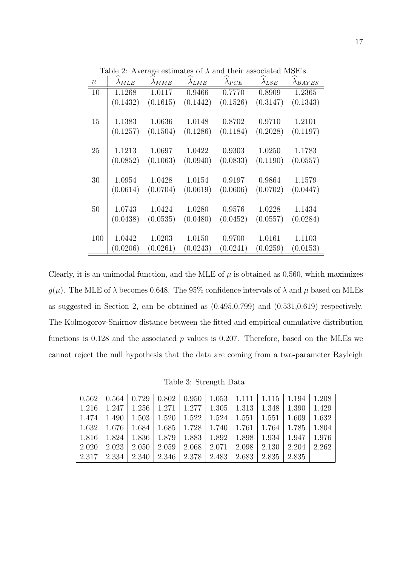| $\, n$ | $\lambda_{MLE}$ | $\lambda_{MME}$ | $\lambda_{LME}$ | $\lambda_{PCE}$ | $\lambda_{LSE}$ | $\lambda_{BAYES}$ |
|--------|-----------------|-----------------|-----------------|-----------------|-----------------|-------------------|
| 10     | 1.1268          | 1.0117          | 0.9466          | 0.7770          | 0.8909          | 1.2365            |
|        | (0.1432)        | (0.1615)        | (0.1442)        | (0.1526)        | (0.3147)        | (0.1343)          |
| 15     | 1.1383          | 1.0636          | 1.0148          | 0.8702          | 0.9710          | 1.2101            |
|        | (0.1257)        | (0.1504)        | (0.1286)        | (0.1184)        | (0.2028)        | (0.1197)          |
| 25     | 1.1213          | 1.0697          | 1.0422          | 0.9303          | 1.0250          | 1.1783            |
|        | (0.0852)        | (0.1063)        | (0.0940)        | (0.0833)        | (0.1190)        | (0.0557)          |
| 30     | 1.0954          | 1.0428          | 1.0154          | 0.9197          | 0.9864          | 1.1579            |
|        | (0.0614)        | (0.0704)        | (0.0619)        | (0.0606)        | (0.0702)        | (0.0447)          |
| 50     | 1.0743          | 1.0424          | 1.0280          | 0.9576          | 1.0228          | 1.1434            |
|        | (0.0438)        | (0.0535)        | (0.0480)        | (0.0452)        | (0.0557)        | (0.0284)          |
| 100    | 1.0442          | 1.0203          | 1.0150          | 0.9700          | 1.0161          | 1.1103            |
|        | (0.0206)        | (0.0261)        | (0.0243)        | (0.0241)        | (0.0259)        | (0.0153)          |

Table 2: Average estimates of  $\lambda$  and their associated MSE's.

Clearly, it is an unimodal function, and the MLE of  $\mu$  is obtained as 0.560, which maximizes  $g(\mu)$ . The MLE of  $\lambda$  becomes 0.648. The 95% confidence intervals of  $\lambda$  and  $\mu$  based on MLEs as suggested in Section 2, can be obtained as (0.495,0.799) and (0.531,0.619) respectively. The Kolmogorov-Smirnov distance between the fitted and empirical cumulative distribution functions is  $0.128$  and the associated p values is  $0.207$ . Therefore, based on the MLEs we cannot reject the null hypothesis that the data are coming from a two-parameter Rayleigh

Table 3: Strength Data

| $\mid 0.562 \mid 0.564 \mid 0.729 \mid 0.802 \mid 0.950 \mid 1.053 \mid 1.111 \mid 1.115 \mid 1.194 \mid 1.208$ |           |  |                                                           |  |                                                                               |       |
|-----------------------------------------------------------------------------------------------------------------|-----------|--|-----------------------------------------------------------|--|-------------------------------------------------------------------------------|-------|
| $1.216$ 1                                                                                                       | $1.247$ 1 |  |                                                           |  | $1.256$   $1.271$   $1.277$   $1.305$   $1.313$   $1.348$   $1.390$           | 1.429 |
| 1.474                                                                                                           |           |  |                                                           |  | 1.490   1.503   1.520   1.522   1.524   1.551   1.551   1.609   1.632         |       |
| $\mid$ 1.632 $\mid$ 1.676 $\mid$                                                                                |           |  |                                                           |  | $1.684$   $1.685$   $1.728$   $1.740$   $1.761$   $1.764$   $1.785$   $1.804$ |       |
| 1.816                                                                                                           | 1.824     |  | 1.836   1.879   1.883   1.892   1.898   1.934   1.947     |  |                                                                               | 1.976 |
| 2.020                                                                                                           | 2.023     |  | $2.050$   $2.059$   $2.068$   $2.071$   $2.098$   $2.130$ |  | $\mid 2.204 \mid$                                                             | 2.262 |
| 2.317                                                                                                           | $2.334$   |  | 2.340   2.346   2.378   2.483   2.683   2.835   2.835     |  |                                                                               |       |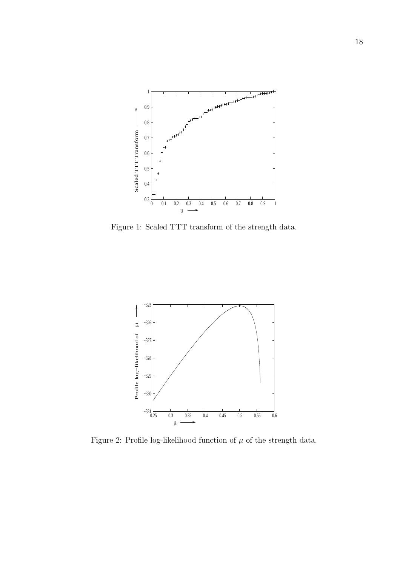

Figure 1: Scaled TTT transform of the strength data.



Figure 2: Profile log-likelihood function of  $\mu$  of the strength data.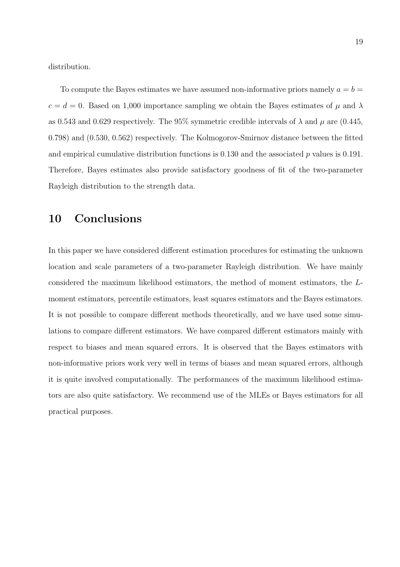distribution.

To compute the Bayes estimates we have assumed non-informative priors namely  $a = b =$  $c = d = 0$ . Based on 1,000 importance sampling we obtain the Bayes estimates of  $\mu$  and  $\lambda$ as 0.543 and 0.629 respectively. The 95% symmetric credible intervals of  $\lambda$  and  $\mu$  are (0.445, 0.798) and (0.530, 0.562) respectively. The Kolmogorov-Smirnov distance between the fitted and empirical cumulative distribution functions is  $0.130$  and the associated p values is  $0.191$ . Therefore, Bayes estimates also provide satisfactory goodness of fit of the two-parameter Rayleigh distribution to the strength data.

#### 10 Conclusions

In this paper we have considered different estimation procedures for estimating the unknown location and scale parameters of a two-parameter Rayleigh distribution. We have mainly considered the maximum likelihood estimators, the method of moment estimators, the Lmoment estimators, percentile estimators, least squares estimators and the Bayes estimators. It is not possible to compare different methods theoretically, and we have used some simulations to compare different estimators. We have compared different estimators mainly with respect to biases and mean squared errors. It is observed that the Bayes estimators with non-informative priors work very well in terms of biases and mean squared errors, although it is quite involved computationally. The performances of the maximum likelihood estimators are also quite satisfactory. We recommend use of the MLEs or Bayes estimators for all practical purposes.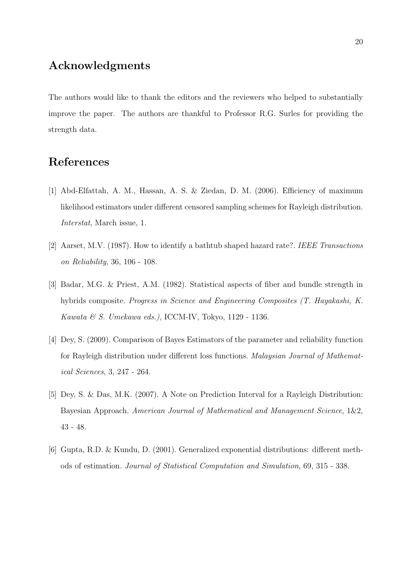## Acknowledgments

The authors would like to thank the editors and the reviewers who helped to substantially improve the paper. The authors are thankful to Professor R.G. Surles for providing the strength data.

# References

- [1] Abd-Elfattah, A. M., Hassan, A. S. & Ziedan, D. M. (2006). Efficiency of maximum likelihood estimators under different censored sampling schemes for Rayleigh distribution. Interstat, March issue, 1.
- [2] Aarset, M.V. (1987). How to identify a bathtub shaped hazard rate?. IEEE Transactions on Reliability, 36, 106 - 108.
- [3] Badar, M.G. & Priest, A.M. (1982). Statistical aspects of fiber and bundle strength in hybrids composite. Progress in Science and Engineering Composites (T. Hayakashi, K. Kawata & S. Umekawa eds.), ICCM-IV, Tokyo, 1129 - 1136.
- [4] Dey, S. (2009). Comparison of Bayes Estimators of the parameter and reliability function for Rayleigh distribution under different loss functions. Malaysian Journal of Mathematical Sciences, 3, 247 - 264.
- [5] Dey, S. & Das, M.K. (2007). A Note on Prediction Interval for a Rayleigh Distribution: Bayesian Approach. American Journal of Mathematical and Management Science, 1&2, 43 - 48.
- [6] Gupta, R.D. & Kundu, D. (2001). Generalized exponential distributions: different methods of estimation. Journal of Statistical Computation and Simulation, 69, 315 - 338.